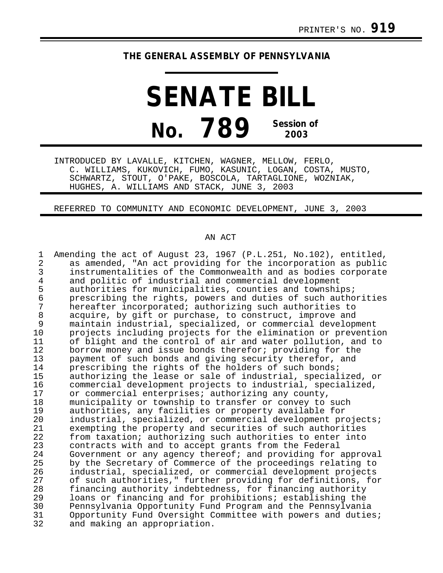## **THE GENERAL ASSEMBLY OF PENNSYLVANIA**

**SENATE BILL No. 789 Session of 2003**

INTRODUCED BY LAVALLE, KITCHEN, WAGNER, MELLOW, FERLO, C. WILLIAMS, KUKOVICH, FUMO, KASUNIC, LOGAN, COSTA, MUSTO, SCHWARTZ, STOUT, O'PAKE, BOSCOLA, TARTAGLIONE, WOZNIAK, HUGHES, A. WILLIAMS AND STACK, JUNE 3, 2003

REFERRED TO COMMUNITY AND ECONOMIC DEVELOPMENT, JUNE 3, 2003

## AN ACT

1 Amending the act of August 23, 1967 (P.L.251, No.102), entitled,<br>2 as amended. "An act providing for the incorporation as public 2 as amended, "An act providing for the incorporation as public<br>3 instrumentalities of the Commonwealth and as bodies corporate 3 instrumentalities of the Commonwealth and as bodies corporate<br>4 and politic of industrial and commercial development 4 and politic of industrial and commercial development<br>5 authorities for municipalities, counties and township 5 authorities for municipalities, counties and townships;<br>6 brescribing the rights, powers and duties of such autho 6 prescribing the rights, powers and duties of such authorities<br>7 bereafter incorporated; authorizing such authorities to 7 hereafter incorporated; authorizing such authorities to<br>8 acquire, by gift or purchase, to construct, improve and 8 acquire, by gift or purchase, to construct, improve and<br>9 maintain industrial, specialized, or commercial develop 9 maintain industrial, specialized, or commercial development 10 projects including projects for the elimination or prevention<br>11 of blight and the control of air and water pollution, and to 11 of blight and the control of air and water pollution, and to<br>12 borrow monev and issue bonds therefor; providing for the 12 borrow money and issue bonds therefor; providing for the<br>13 payment of such bonds and giving security therefor, and 13 payment of such bonds and giving security therefor, and<br>14 prescribing the rights of the holders of such bonds; 14 prescribing the rights of the holders of such bonds;<br>15 authorizing the lease or sale of industrial, special 15 authorizing the lease or sale of industrial, specialized, or 16 commercial development projects to industrial, specialized,<br>17 or commercial enterprises; authorizing any county. 17 or commercial enterprises; authorizing any county,<br>18 municipality or township to transfer or convey to 18 municipality or township to transfer or convey to such<br>19 authorities, any facilities or property available for 19 authorities, any facilities or property available for 20 industrial, specialized, or commercial development projects;<br>21 exempting the property and securities of such authorities 21 exempting the property and securities of such authorities<br>22 from taxation; authorizing such authorities to enter into 22 from taxation; authorizing such authorities to enter into<br>23 contracts with and to accept grants from the Federal 23 contracts with and to accept grants from the Federal<br>24 Government or any agency thereof; and providing for 24 Government or any agency thereof; and providing for approval<br>25 by the Secretary of Commerce of the proceedings relating to 25 by the Secretary of Commerce of the proceedings relating to<br>26 industrial, specialized, or commercial development projects 26 industrial, specialized, or commercial development projects 27 of such authorities," further providing for definitions, for<br>28 financing authority indebtedness, for financing authority 28 financing authority indebtedness, for financing authority<br>29 10ans or financing and for prohibitions; establishing the 29 loans or financing and for prohibitions; establishing the<br>30 Pennsylvania Opportunity Fund Program and the Pennsylvania 30 Pennsylvania Opportunity Fund Program and the Pennsylvania 31 Opportunity Fund Oversight Committee with powers and duties;<br>32 and making an appropriation. and making an appropriation.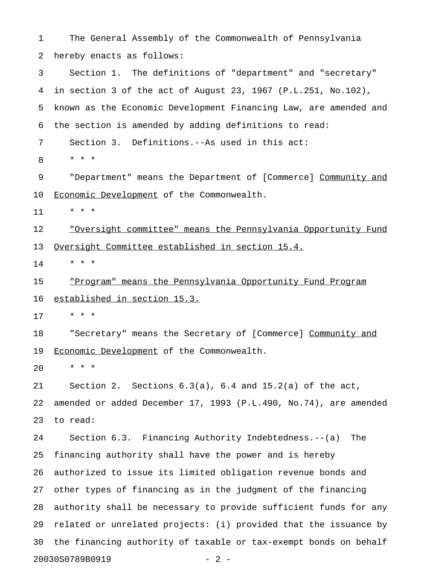1 The General Assembly of the Commonwealth of Pennsylvania 2 hereby enacts as follows: 3 Section 1. The definitions of "department" and "secretary" 4 in section 3 of the act of August 23, 1967 (P.L.251, No.102), 5 known as the Economic Development Financing Law, are amended and 6 the section is amended by adding definitions to read: 7 Section 3. Definitions.--As used in this act: 8 \* \* \* 9 "Department" means the Department of [Commerce] Community and 10 Economic Development of the Commonwealth. 11 \* \* \* 12 · <u>"Oversight committee" means the Pennsylvania Opportunity Fund</u> 13 Oversight Committee established in section 15.4.  $14$  \* \* \* 15 "Program" means the Pennsylvania Opportunity Fund Program 16 established in section 15.3. 17 \* \* \* 18 "Secretary" means the Secretary of [Commerce] Community and 19 Economic Development of the Commonwealth. 20 \* \* \* 21 Section 2. Sections 6.3(a), 6.4 and 15.2(a) of the act, 22 amended or added December 17, 1993 (P.L.490, No.74), are amended 23 to read: 24 Section 6.3. Financing Authority Indebtedness.--(a) The 25 financing authority shall have the power and is hereby 26 authorized to issue its limited obligation revenue bonds and 27 other types of financing as in the judgment of the financing 28 authority shall be necessary to provide sufficient funds for any 29 related or unrelated projects: (i) provided that the issuance by 30 the financing authority of taxable or tax-exempt bonds on behalf 20030S0789B0919 - 2 -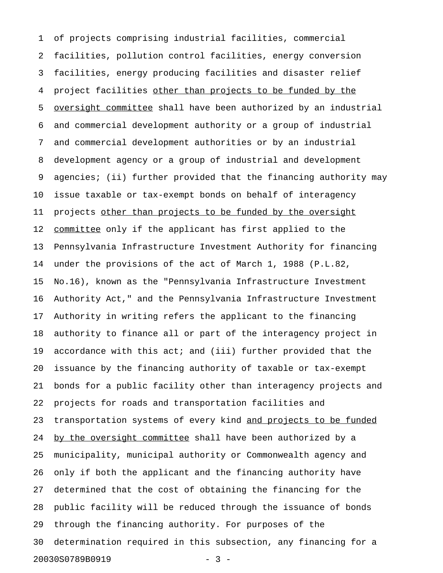1 of projects comprising industrial facilities, commercial 2 facilities, pollution control facilities, energy conversion 3 facilities, energy producing facilities and disaster relief 4 project facilities other than projects to be funded by the 5 oversight committee shall have been authorized by an industrial 6 and commercial development authority or a group of industrial 7 and commercial development authorities or by an industrial 8 development agency or a group of industrial and development 9 agencies; (ii) further provided that the financing authority may 10 issue taxable or tax-exempt bonds on behalf of interagency 11 projects other than projects to be funded by the oversight 12 committee only if the applicant has first applied to the 13 Pennsylvania Infrastructure Investment Authority for financing 14 under the provisions of the act of March 1, 1988 (P.L.82, 15 No.16), known as the "Pennsylvania Infrastructure Investment 16 Authority Act," and the Pennsylvania Infrastructure Investment 17 Authority in writing refers the applicant to the financing 18 authority to finance all or part of the interagency project in 19 accordance with this act; and (iii) further provided that the 20 issuance by the financing authority of taxable or tax-exempt 21 bonds for a public facility other than interagency projects and 22 projects for roads and transportation facilities and 23 transportation systems of every kind and projects to be funded 24 by the oversight committee shall have been authorized by a 25 municipality, municipal authority or Commonwealth agency and 26 only if both the applicant and the financing authority have 27 determined that the cost of obtaining the financing for the 28 public facility will be reduced through the issuance of bonds 29 through the financing authority. For purposes of the 30 determination required in this subsection, any financing for a 20030S0789B0919 - 3 -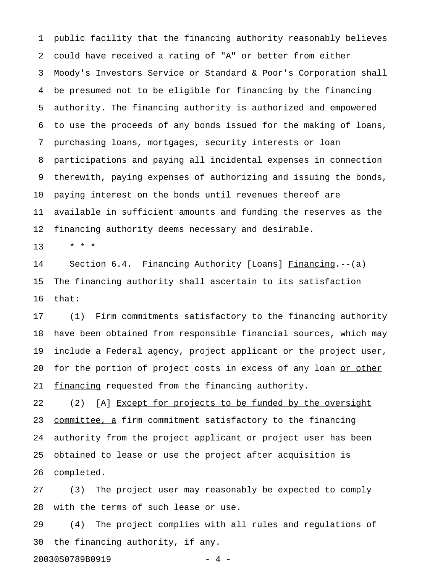1 public facility that the financing authority reasonably believes 2 could have received a rating of "A" or better from either 3 Moody's Investors Service or Standard & Poor's Corporation shall 4 be presumed not to be eligible for financing by the financing 5 authority. The financing authority is authorized and empowered 6 to use the proceeds of any bonds issued for the making of loans, 7 purchasing loans, mortgages, security interests or loan 8 participations and paying all incidental expenses in connection 9 therewith, paying expenses of authorizing and issuing the bonds, 10 paying interest on the bonds until revenues thereof are 11 available in sufficient amounts and funding the reserves as the 12 financing authority deems necessary and desirable.

13 \* \* \*

14 Section 6.4. Financing Authority [Loans] Financing.--(a) 15 The financing authority shall ascertain to its satisfaction 16 that:

17 (1) Firm commitments satisfactory to the financing authority 18 have been obtained from responsible financial sources, which may 19 include a Federal agency, project applicant or the project user, 20 for the portion of project costs in excess of any loan or other 21 financing requested from the financing authority.

22 (2) [A] Except for projects to be funded by the oversight 23 committee, a firm commitment satisfactory to the financing 24 authority from the project applicant or project user has been 25 obtained to lease or use the project after acquisition is 26 completed.

27 (3) The project user may reasonably be expected to comply 28 with the terms of such lease or use.

29 (4) The project complies with all rules and regulations of 30 the financing authority, if any.

20030S0789B0919 - 4 -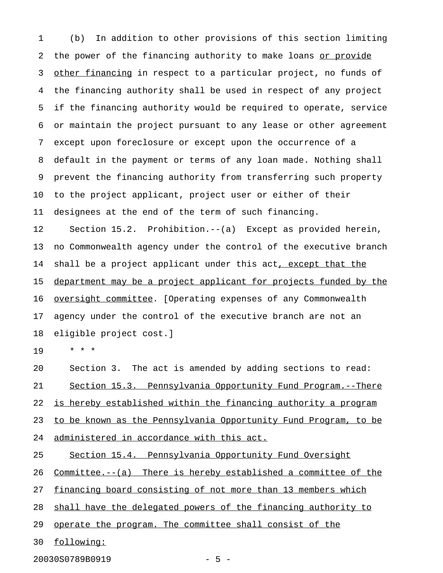1 (b) In addition to other provisions of this section limiting 2 the power of the financing authority to make loans or provide 3 other financing in respect to a particular project, no funds of 4 the financing authority shall be used in respect of any project 5 if the financing authority would be required to operate, service 6 or maintain the project pursuant to any lease or other agreement 7 except upon foreclosure or except upon the occurrence of a 8 default in the payment or terms of any loan made. Nothing shall 9 prevent the financing authority from transferring such property 10 to the project applicant, project user or either of their 11 designees at the end of the term of such financing. 12 Section 15.2. Prohibition.--(a) Except as provided herein, 13 no Commonwealth agency under the control of the executive branch 14 shall be a project applicant under this act, except that the 15 department may be a project applicant for projects funded by the 16 oversight committee. [Operating expenses of any Commonwealth 17 agency under the control of the executive branch are not an 18 eligible project cost.]

19 \* \* \*

20 Section 3. The act is amended by adding sections to read: 21 Section 15.3. Pennsylvania Opportunity Fund Program.--There 22 is hereby established within the financing authority a program 23 to be known as the Pennsylvania Opportunity Fund Program, to be 24 administered in accordance with this act.

25 Section 15.4. Pennsylvania Opportunity Fund Oversight

26 Committee.--(a) There is hereby established a committee of the

27 financing board consisting of not more than 13 members which

28 shall have the delegated powers of the financing authority to

29 operate the program. The committee shall consist of the

30 following: \_\_\_\_\_\_\_\_\_\_

20030S0789B0919 - 5 -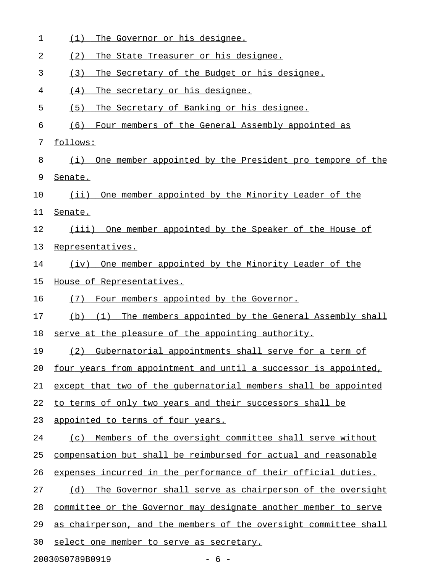| 1  | The Governor or his designee.<br>(1)                              |  |  |
|----|-------------------------------------------------------------------|--|--|
| 2  | (2)<br>The State Treasurer or his designee.                       |  |  |
| 3  | The Secretary of the Budget or his designee.<br>(3)               |  |  |
| 4  | (4)<br>The secretary or his designee.                             |  |  |
| 5  | (5)<br>The Secretary of Banking or his designee.                  |  |  |
| 6  | (6)<br>Four members of the General Assembly appointed as          |  |  |
| 7  | follows:                                                          |  |  |
| 8  | One member appointed by the President pro tempore of the<br>(i)   |  |  |
| 9  | Senate.                                                           |  |  |
| 10 | One member appointed by the Minority Leader of the<br>$(i$ ii)    |  |  |
| 11 | Senate.                                                           |  |  |
| 12 | (iii) One member appointed by the Speaker of the House of         |  |  |
| 13 | Representatives.                                                  |  |  |
| 14 | (iv) One member appointed by the Minority Leader of the           |  |  |
| 15 | House of Representatives.                                         |  |  |
| 16 | Four members appointed by the Governor.<br>(7)                    |  |  |
| 17 | The members appointed by the General Assembly shall<br>(b)<br>(1) |  |  |
| 18 | serve at the pleasure of the appointing authority.                |  |  |
| 19 | (2) Gubernatorial appointments shall serve for a term of          |  |  |
| 20 | four years from appointment and until a successor is appointed,   |  |  |
| 21 | except that two of the qubernatorial members shall be appointed   |  |  |
| 22 | to terms of only two years and their successors shall be          |  |  |
| 23 | appointed to terms of four years.                                 |  |  |
| 24 | Members of the oversight committee shall serve without<br>(C)     |  |  |
| 25 | compensation but shall be reimbursed for actual and reasonable    |  |  |
| 26 | expenses incurred in the performance of their official duties.    |  |  |
| 27 | The Governor shall serve as chairperson of the oversight<br>(d)   |  |  |
| 28 | committee or the Governor may designate another member to serve   |  |  |
| 29 | as chairperson, and the members of the oversight committee shall  |  |  |
| 30 | select one member to serve as secretary.                          |  |  |
|    | 20030S0789B0919<br>$-6-$                                          |  |  |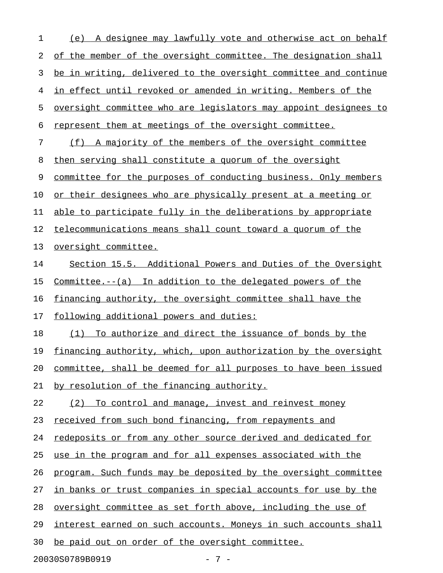1 (e) A designee may lawfully vote and otherwise act on behalf 2 of the member of the oversight committee. The designation shall 3 be in writing, delivered to the oversight committee and continue 4 in effect until revoked or amended in writing. Members of the 5 oversight committee who are legislators may appoint designees to 6 represent them at meetings of the oversight committee. 7 (f) A majority of the members of the oversight committee 8 then serving shall constitute a quorum of the oversight 9 committee for the purposes of conducting business. Only members 10 or their designees who are physically present at a meeting or 11 able to participate fully in the deliberations by appropriate 12 telecommunications means shall count toward a quorum of the 13 oversight committee. 14 Section 15.5. Additional Powers and Duties of the Oversight 15 Committee. $--(a)$  In addition to the delegated powers of the 16 financing authority, the oversight committee shall have the 17 following additional powers and duties: 18 (1) To authorize and direct the issuance of bonds by the 19 financing authority, which, upon authorization by the oversight 20 committee, shall be deemed for all purposes to have been issued 21 by resolution of the financing authority. 22 (2) To control and manage, invest and reinvest money 23 received from such bond financing, from repayments and 24 redeposits or from any other source derived and dedicated for 25 use in the program and for all expenses associated with the 26 program. Such funds may be deposited by the oversight committee 27 in banks or trust companies in special accounts for use by the 28 oversight committee as set forth above, including the use of 29 interest earned on such accounts. Moneys in such accounts shall 30 be paid out on order of the oversight committee.

20030S0789B0919 - 7 -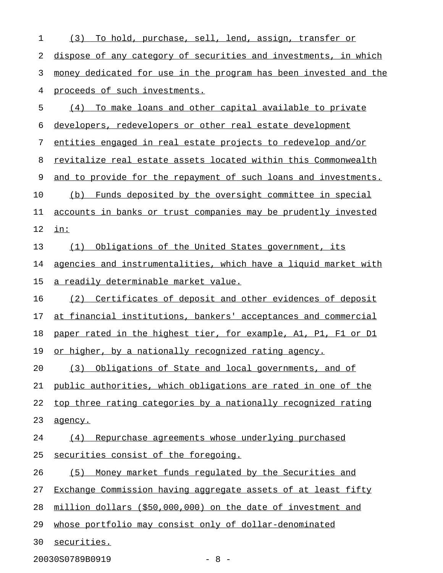| 1  | To hold, purchase, sell, lend, assign, transfer or<br>(3)        |
|----|------------------------------------------------------------------|
| 2  | dispose of any category of securities and investments, in which  |
| 3  | money dedicated for use in the program has been invested and the |
| 4  | proceeds of such investments.                                    |
| 5  | (4) To make loans and other capital available to private         |
| 6  | developers, redevelopers or other real estate development        |
| 7  | entities engaged in real estate projects to redevelop and/or     |
| 8  | revitalize real estate assets located within this Commonwealth   |
| 9  | and to provide for the repayment of such loans and investments.  |
| 10 | Funds deposited by the oversight committee in special<br>(b)     |
| 11 | accounts in banks or trust companies may be prudently invested   |
| 12 | in:                                                              |
| 13 | (1)<br>Obligations of the United States government, its          |
| 14 | agencies and instrumentalities, which have a liquid market with  |
| 15 | a readily determinable market value.                             |
| 16 | Certificates of deposit and other evidences of deposit<br>(2)    |
| 17 | at financial institutions, bankers' acceptances and commercial   |
| 18 | paper rated in the highest tier, for example, A1, P1, F1 or D1   |
| 19 | or higher, by a nationally recognized rating agency.             |
| 20 | Obligations of State and local governments, and of<br>(3)        |
| 21 | public authorities, which obligations are rated in one of the    |
| 22 | top three rating categories by a nationally recognized rating    |
| 23 | agency.                                                          |
| 24 | (4) Repurchase agreements whose underlying purchased             |
| 25 | securities consist of the foregoing.                             |
| 26 | (5) Money market funds regulated by the Securities and           |
| 27 | Exchange Commission having aggregate assets of at least fifty    |
| 28 | million dollars (\$50,000,000) on the date of investment and     |
| 29 | whose portfolio may consist only of dollar-denominated           |
| 30 | securities.                                                      |
|    |                                                                  |

20030S0789B0919 - 8 -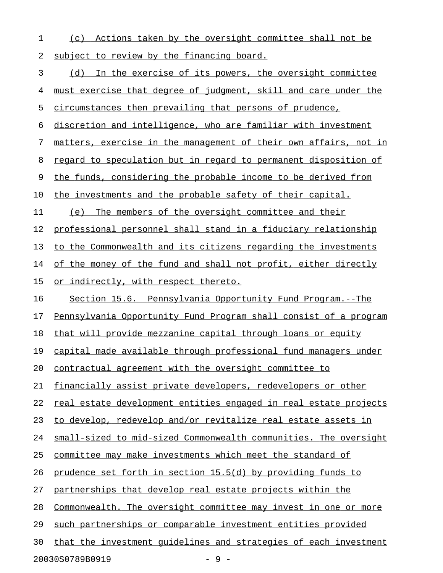1 (c) Actions taken by the oversight committee shall not be 2 subject to review by the financing board.

3 (d) In the exercise of its powers, the oversight committee 4 must exercise that degree of judgment, skill and care under the 5 circumstances then prevailing that persons of prudence, 6 discretion and intelligence, who are familiar with investment 7 matters, exercise in the management of their own affairs, not in 8 regard to speculation but in regard to permanent disposition of 9 the funds, considering the probable income to be derived from 10 the investments and the probable safety of their capital. 11 (e) The members of the oversight committee and their 12 professional personnel shall stand in a fiduciary relationship 13 to the Commonwealth and its citizens regarding the investments 14 of the money of the fund and shall not profit, either directly 15 or indirectly, with respect thereto. 16 Section 15.6. Pennsylvania Opportunity Fund Program.--The 17 Pennsylvania Opportunity Fund Program shall consist of a program 18 that will provide mezzanine capital through loans or equity 19 capital made available through professional fund managers under 20 contractual agreement with the oversight committee to 21 financially assist private developers, redevelopers or other 22 real estate development entities engaged in real estate projects 23 to develop, redevelop and/or revitalize real estate assets in 24 small-sized to mid-sized Commonwealth communities. The oversight 25 committee may make investments which meet the standard of 26 prudence set forth in section 15.5(d) by providing funds to 27 partnerships that develop real estate projects within the 28 Commonwealth. The oversight committee may invest in one or more 29 such partnerships or comparable investment entities provided 30 that the investment quidelines and strategies of each investment

20030S0789B0919 - 9 -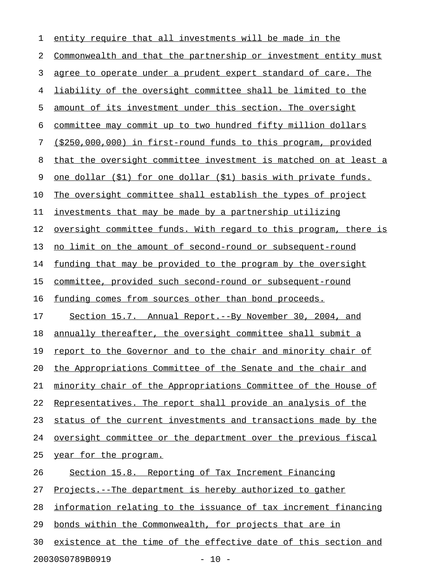| 1  | entity require that all investments will be made in the          |
|----|------------------------------------------------------------------|
| 2  | Commonwealth and that the partnership or investment entity must  |
| 3  | agree to operate under a prudent expert standard of care. The    |
| 4  | liability of the oversight committee shall be limited to the     |
| 5  | amount of its investment under this section. The oversight       |
| 6  | committee may commit up to two hundred fifty million dollars     |
| 7  | (\$250,000,000) in first-round funds to this program, provided   |
| 8  | that the oversight committee investment is matched on at least a |
| 9  | one dollar (\$1) for one dollar (\$1) basis with private funds.  |
| 10 | The oversight committee shall establish the types of project     |
| 11 | investments that may be made by a partnership utilizing          |
| 12 | oversight committee funds. With regard to this program, there is |
| 13 | no limit on the amount of second-round or subsequent-round       |
| 14 | funding that may be provided to the program by the oversight     |
| 15 | committee, provided such second-round or subsequent-round        |
| 16 | funding comes from sources other than bond proceeds.             |
| 17 | Section 15.7. Annual Report.--By November 30, 2004, and          |
| 18 | annually thereafter, the oversight committee shall submit a      |
| 19 | report to the Governor and to the chair and minority chair of    |
| 20 | the Appropriations Committee of the Senate and the chair and     |
| 21 | minority chair of the Appropriations Committee of the House of   |
| 22 | Representatives. The report shall provide an analysis of the     |
| 23 | status of the current investments and transactions made by the   |
| 24 | oversight committee or the department over the previous fiscal   |
| 25 | year for the program.                                            |
| 26 | Section 15.8. Reporting of Tax Increment Financing               |
| 27 | Projects.--The department is hereby authorized to gather         |
| 28 | information relating to the issuance of tax increment financing  |
| 29 | bonds within the Commonwealth, for projects that are in          |
| 30 | existence at the time of the effective date of this section and  |
|    | 20030S0789B0919<br>$-10 -$                                       |